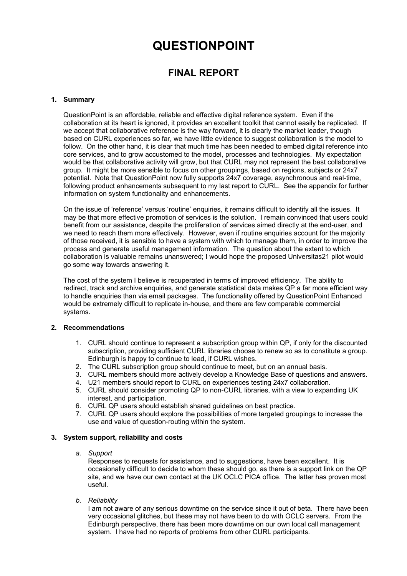# **QUESTIONPOINT**

# **FINAL REPORT**

## **1. Summary**

QuestionPoint is an affordable, reliable and effective digital reference system. Even if the collaboration at its heart is ignored, it provides an excellent toolkit that cannot easily be replicated. If we accept that collaborative reference is the way forward, it is clearly the market leader, though based on CURL experiences so far, we have little evidence to suggest collaboration is the model to follow. On the other hand, it is clear that much time has been needed to embed digital reference into core services, and to grow accustomed to the model, processes and technologies. My expectation would be that collaborative activity will grow, but that CURL may not represent the best collaborative group. It might be more sensible to focus on other groupings, based on regions, subjects or 24x7 potential. Note that QuestionPoint now fully supports 24x7 coverage, asynchronous and real-time, following product enhancements subsequent to my last report to CURL. See the appendix for further information on system functionality and enhancements.

On the issue of 'reference' versus 'routine' enquiries, it remains difficult to identify all the issues. It may be that more effective promotion of services is the solution. I remain convinced that users could benefit from our assistance, despite the proliferation of services aimed directly at the end-user, and we need to reach them more effectively. However, even if routine enquiries account for the majority of those received, it is sensible to have a system with which to manage them, in order to improve the process and generate useful management information. The question about the extent to which collaboration is valuable remains unanswered; I would hope the proposed Universitas21 pilot would go some way towards answering it.

The cost of the system I believe is recuperated in terms of improved efficiency. The ability to redirect, track and archive enquiries, and generate statistical data makes QP a far more efficient way to handle enquiries than via email packages. The functionality offered by QuestionPoint Enhanced would be extremely difficult to replicate in-house, and there are few comparable commercial systems.

#### **2. Recommendations**

- 1. CURL should continue to represent a subscription group within QP, if only for the discounted subscription, providing sufficient CURL libraries choose to renew so as to constitute a group. Edinburgh is happy to continue to lead, if CURL wishes.
- 2. The CURL subscription group should continue to meet, but on an annual basis.
- 3. CURL members should more actively develop a Knowledge Base of questions and answers.
- 4. U21 members should report to CURL on experiences testing 24x7 collaboration.
- 5. CURL should consider promoting QP to non-CURL libraries, with a view to expanding UK interest, and participation.
- 6. CURL QP users should establish shared guidelines on best practice.
- 7. CURL QP users should explore the possibilities of more targeted groupings to increase the use and value of question-routing within the system.

#### **3. System support, reliability and costs**

#### *a. Support*

Responses to requests for assistance, and to suggestions, have been excellent. It is occasionally difficult to decide to whom these should go, as there is a support link on the QP site, and we have our own contact at the UK OCLC PICA office. The latter has proven most useful.

*b. Reliability* 

I am not aware of any serious downtime on the service since it out of beta. There have been very occasional glitches, but these may not have been to do with OCLC servers. From the Edinburgh perspective, there has been more downtime on our own local call management system. I have had no reports of problems from other CURL participants.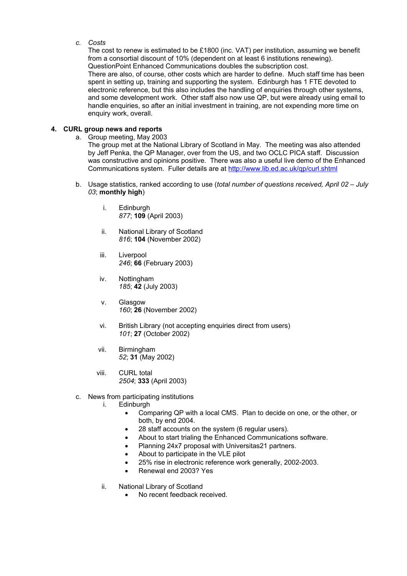#### *c. Costs*

The cost to renew is estimated to be £1800 (inc. VAT) per institution, assuming we benefit from a consortial discount of 10% (dependent on at least 6 institutions renewing). QuestionPoint Enhanced Communications doubles the subscription cost. There are also, of course, other costs which are harder to define. Much staff time has been spent in setting up, training and supporting the system. Edinburgh has 1 FTE devoted to electronic reference, but this also includes the handling of enquiries through other systems, and some development work. Other staff also now use QP, but were already using email to handle enquiries, so after an initial investment in training, are not expending more time on enquiry work, overall.

### **4. CURL group news and reports**

a. Group meeting, May 2003

The group met at the National Library of Scotland in May. The meeting was also attended by Jeff Penka, the QP Manager, over from the US, and two OCLC PICA staff. Discussion was constructive and opinions positive. There was also a useful live demo of the Enhanced Communications system. Fuller details are at <http://www.lib.ed.ac.uk/qp/curl.shtml>

- b. Usage statistics, ranked according to use (*total number of questions received, April 02 July 03*; **monthly high**)
	- i. Edinburgh *877*; **109** (April 2003)
	- ii. National Library of Scotland *816*; **104** (November 2002)
	- iii. Liverpool *246*; **66** (February 2003)
	- iv. Nottingham *185*; **42** (July 2003)
	- v. Glasgow *160*; **26** (November 2002)
	- vi. British Library (not accepting enquiries direct from users) *101*; **27** (October 2002)
	- vii. Birmingham *52*; **31** (May 2002)
	- viii. CURL total *2504*; **333** (April 2003)
- c. News from participating institutions
	- i. Edinburgh
		- Comparing QP with a local CMS. Plan to decide on one, or the other, or both, by end 2004.
		- 28 staff accounts on the system (6 regular users).
		- About to start trialing the Enhanced Communications software.
		- Planning 24x7 proposal with Universitas21 partners.
		- About to participate in the VLE pilot
		- 25% rise in electronic reference work generally, 2002-2003.
		- Renewal end 2003? Yes
	- ii. National Library of Scotland
		- No recent feedback received.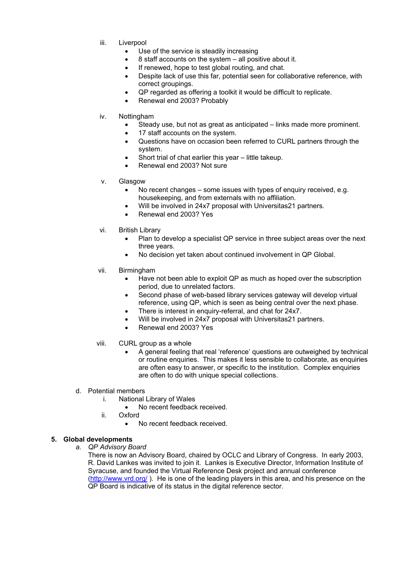- iii. Liverpool
	- Use of the service is steadily increasing
		- 8 staff accounts on the system all positive about it.
	- If renewed, hope to test global routing, and chat.
	- Despite lack of use this far, potential seen for collaborative reference, with correct groupings.
	- QP regarded as offering a toolkit it would be difficult to replicate.
	- Renewal end 2003? Probably
- iv. Nottingham
	- Steady use, but not as great as anticipated links made more prominent.
	- 17 staff accounts on the system.
	- Questions have on occasion been referred to CURL partners through the system.
	- Short trial of chat earlier this year little takeup.
		- Renewal end 2003? Not sure
- v. Glasgow
	- No recent changes some issues with types of enquiry received, e.g. housekeeping, and from externals with no affiliation.
	- Will be involved in 24x7 proposal with Universitas21 partners.
	- Renewal end 2003? Yes
- vi. British Library
	- Plan to develop a specialist QP service in three subject areas over the next three years.
	- No decision yet taken about continued involvement in QP Global.
- vii. Birmingham
	- Have not been able to exploit QP as much as hoped over the subscription period, due to unrelated factors.
	- Second phase of web-based library services gateway will develop virtual reference, using QP, which is seen as being central over the next phase.
	- There is interest in enquiry-referral, and chat for 24x7.
	- Will be involved in 24x7 proposal with Universitas21 partners.
	- Renewal end 2003? Yes
- viii. CURL group as a whole
	- A general feeling that real 'reference' questions are outweighed by technical or routine enquiries. This makes it less sensible to collaborate, as enquiries are often easy to answer, or specific to the institution. Complex enquiries are often to do with unique special collections.
- d. Potential members
	- i. National Library of Wales
		- No recent feedback received.
	- ii. Oxford
		- No recent feedback received.

### **5. Global developments**

*a. QP Advisory Board* 

There is now an Advisory Board, chaired by OCLC and Library of Congress. In early 2003, R. David Lankes was invited to join it. Lankes is Executive Director, Information Institute of Syracuse, and founded the Virtual Reference Desk project and annual conference [\(http://www.vrd.org/](http://www.vrd.org/)). He is one of the leading players in this area, and his presence on the QP Board is indicative of its status in the digital reference sector.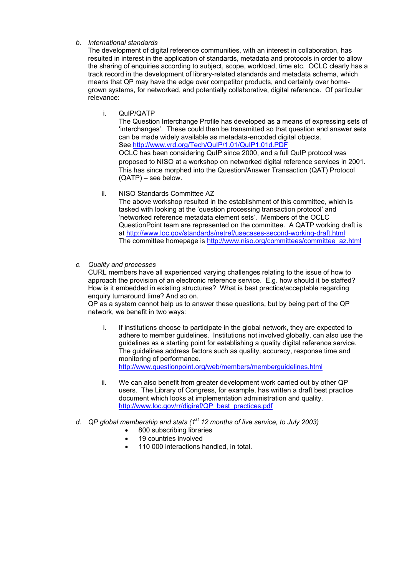#### *b. International standards*

The development of digital reference communities, with an interest in collaboration, has resulted in interest in the application of standards, metadata and protocols in order to allow the sharing of enquiries according to subject, scope, workload, time etc. OCLC clearly has a track record in the development of library-related standards and metadata schema, which means that QP may have the edge over competitor products, and certainly over homegrown systems, for networked, and potentially collaborative, digital reference. Of particular relevance:

i. QuIP/QATP

The Question Interchange Profile has developed as a means of expressing sets of 'interchanges'. These could then be transmitted so that question and answer sets can be made widely available as metadata-encoded digital objects. See<http://www.vrd.org/Tech/QuIP/1.01/QuIP1.01d.PDF> OCLC has been considering QuIP since 2000, and a full QuIP protocol was proposed to NISO at a workshop on networked digital reference services in 2001. This has since morphed into the Question/Answer Transaction (QAT) Protocol (QATP) – see below.

ii. NISO Standards Committee AZ

The above workshop resulted in the establishment of this committee, which is tasked with looking at the 'question processing transaction protocol' and 'networked reference metadata element sets'. Members of the OCLC QuestionPoint team are represented on the committee. A QATP working draft is at <http://www.loc.gov/standards/netref/usecases-second-working-draft.html> The committee homepage is [http://www.niso.org/committees/committee\\_az.html](http://www.niso.org/committees/committee_az.html)

*c. Quality and processes* 

CURL members have all experienced varying challenges relating to the issue of how to approach the provision of an electronic reference service. E.g. how should it be staffed? How is it embedded in existing structures? What is best practice/acceptable regarding enquiry turnaround time? And so on.

 $QP'$  as a system cannot help us to answer these questions, but by being part of the QP network, we benefit in two ways:

- i. If institutions choose to participate in the global network, they are expected to adhere to member guidelines. Institutions not involved globally, can also use the guidelines as a starting point for establishing a quality digital reference service. The guidelines address factors such as quality, accuracy, response time and monitoring of performance. <http://www.questionpoint.org/web/members/memberguidelines.html>
- ii. We can also benefit from greater development work carried out by other QP users. The Library of Congress, for example, has written a draft best practice document which looks at implementation administration and quality. [http://www.loc.gov/rr/digiref/QP\\_best\\_practices.pdf](http://www.loc.gov/rr/digiref/QP_best_practices.pdf)
- *d. QP global membership and stats (1st 12 months of live service, to July 2003)* 
	- 800 subscribing libraries
	- 19 countries involved
	- 110 000 interactions handled, in total.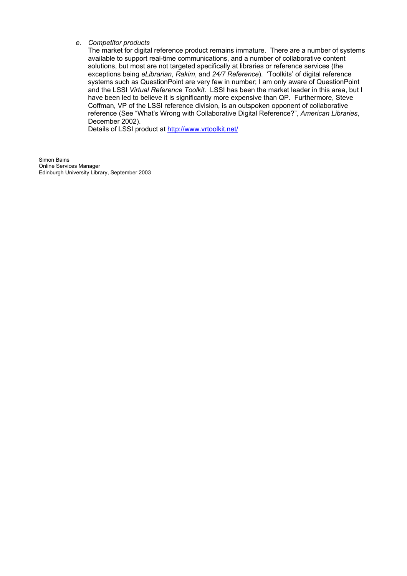#### *e. Competitor products*

The market for digital reference product remains immature. There are a number of systems available to support real-time communications, and a number of collaborative content solutions, but most are not targeted specifically at libraries or reference services (the exceptions being *eLibrarian*, *Rakim*, and *24/7 Reference*). 'Toolkits' of digital reference systems such as QuestionPoint are very few in number; I am only aware of QuestionPoint and the LSSI *Virtual Reference Toolkit*. LSSI has been the market leader in this area, but I have been led to believe it is significantly more expensive than QP. Furthermore, Steve Coffman, VP of the LSSI reference division, is an outspoken opponent of collaborative reference (See "What's Wrong with Collaborative Digital Reference?", *American Libraries*, December 2002).

Details of LSSI product at <http://www.vrtoolkit.net/>

Simon Bains Online Services Manager Edinburgh University Library, September 2003